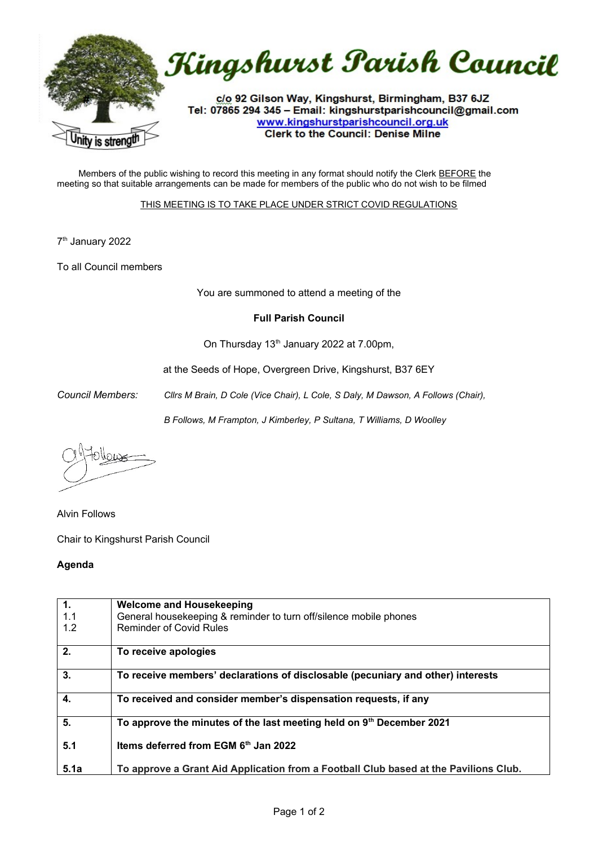

Members of the public wishing to record this meeting in any format should notify the Clerk BEFORE the meeting so that suitable arrangements can be made for members of the public who do not wish to be filmed

## THIS MEETING IS TO TAKE PLACE UNDER STRICT COVID REGULATIONS

7 th January 2022

To all Council members

You are summoned to attend a meeting of the

## **Full Parish Council**

On Thursday 13<sup>th</sup> January 2022 at 7.00pm,

at the Seeds of Hope, Overgreen Drive, Kingshurst, B37 6EY

*Council Members: Cllrs M Brain, D Cole (Vice Chair), L Cole, S Daly, M Dawson, A Follows (Chair),* 

*B Follows, M Frampton, J Kimberley, P Sultana, T Williams, D Woolley*

rnor

Alvin Follows

Chair to Kingshurst Parish Council

## **Agenda**

| 1.   | <b>Welcome and Housekeeping</b>                                                      |
|------|--------------------------------------------------------------------------------------|
| 1.1  | General housekeeping & reminder to turn off/silence mobile phones                    |
|      |                                                                                      |
| 1.2  | Reminder of Covid Rules                                                              |
|      |                                                                                      |
| 2.   | To receive apologies                                                                 |
|      |                                                                                      |
|      |                                                                                      |
| 3.   | To receive members' declarations of disclosable (pecuniary and other) interests      |
|      |                                                                                      |
| 4.   | To received and consider member's dispensation requests, if any                      |
|      |                                                                                      |
| 5.   |                                                                                      |
|      | To approve the minutes of the last meeting held on 9 <sup>th</sup> December 2021     |
|      |                                                                                      |
| 5.1  | Items deferred from EGM 6th Jan 2022                                                 |
|      |                                                                                      |
|      |                                                                                      |
| 5.1a | To approve a Grant Aid Application from a Football Club based at the Pavilions Club. |